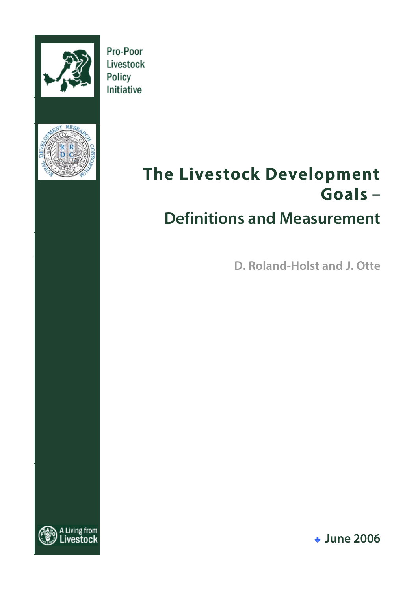

Pro-Poor Livestock Policy Initiative



# **The Livestock Development Goals – Definitions and Measurement**

**D. Roland-Holst and J. Otte**



! **June 2006**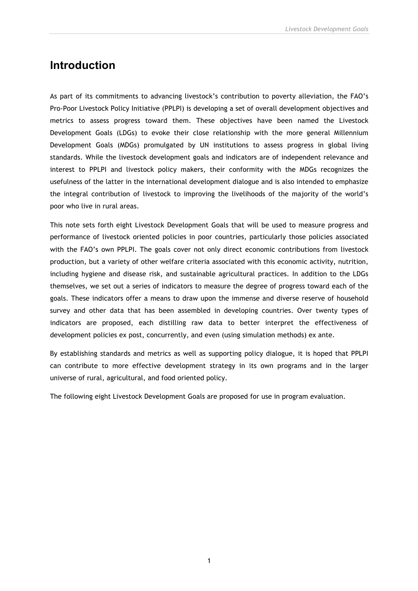# **Introduction**

As part of its commitments to advancing livestock's contribution to poverty alleviation, the FAO's Pro-Poor Livestock Policy Initiative (PPLPI) is developing a set of overall development objectives and metrics to assess progress toward them. These objectives have been named the Livestock Development Goals (LDGs) to evoke their close relationship with the more general Millennium Development Goals (MDGs) promulgated by UN institutions to assess progress in global living standards. While the livestock development goals and indicators are of independent relevance and interest to PPLPI and livestock policy makers, their conformity with the MDGs recognizes the usefulness of the latter in the international development dialogue and is also intended to emphasize the integral contribution of livestock to improving the livelihoods of the majority of the world's poor who live in rural areas.

This note sets forth eight Livestock Development Goals that will be used to measure progress and performance of livestock oriented policies in poor countries, particularly those policies associated with the FAO's own PPLPI. The goals cover not only direct economic contributions from livestock production, but a variety of other welfare criteria associated with this economic activity, nutrition, including hygiene and disease risk, and sustainable agricultural practices. In addition to the LDGs themselves, we set out a series of indicators to measure the degree of progress toward each of the goals. These indicators offer a means to draw upon the immense and diverse reserve of household survey and other data that has been assembled in developing countries. Over twenty types of indicators are proposed, each distilling raw data to better interpret the effectiveness of development policies ex post, concurrently, and even (using simulation methods) ex ante.

By establishing standards and metrics as well as supporting policy dialogue, it is hoped that PPLPI can contribute to more effective development strategy in its own programs and in the larger universe of rural, agricultural, and food oriented policy.

The following eight Livestock Development Goals are proposed for use in program evaluation.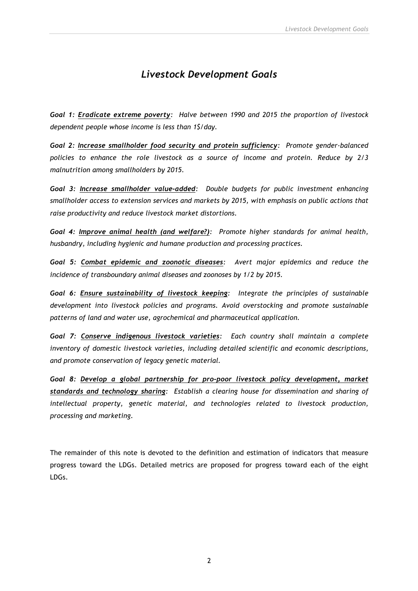# *Livestock Development Goals*

*Goal 1: Eradicate extreme poverty: Halve between 1990 and 2015 the proportion of livestock dependent people whose income is less than 1\$/day.*

*Goal 2: Increase smallholder food security and protein sufficiency: Promote gender-balanced policies to enhance the role livestock as a source of income and protein. Reduce by 2/3 malnutrition among smallholders by 2015.*

*Goal 3: Increase smallholder value-added: Double budgets for public investment enhancing smallholder access to extension services and markets by 2015, with emphasis on public actions that raise productivity and reduce livestock market distortions.*

*Goal 4: Improve animal health (and welfare?): Promote higher standards for animal health, husbandry, including hygienic and humane production and processing practices.*

*Goal 5: Combat epidemic and zoonotic diseases: Avert major epidemics and reduce the incidence of transboundary animal diseases and zoonoses by 1/2 by 2015.*

*Goal 6: Ensure sustainability of livestock keeping: Integrate the principles of sustainable development into livestock policies and programs. Avoid overstocking and promote sustainable patterns of land and water use, agrochemical and pharmaceutical application.*

*Goal 7: Conserve indigenous livestock varieties: Each country shall maintain a complete inventory of domestic livestock varieties, including detailed scientific and economic descriptions, and promote conservation of legacy genetic material.*

*Goal 8: Develop a global partnership for pro-poor livestock policy development, market standards and technology sharing: Establish a clearing house for dissemination and sharing of intellectual property, genetic material, and technologies related to livestock production, processing and marketing.*

The remainder of this note is devoted to the definition and estimation of indicators that measure progress toward the LDGs. Detailed metrics are proposed for progress toward each of the eight LDGs.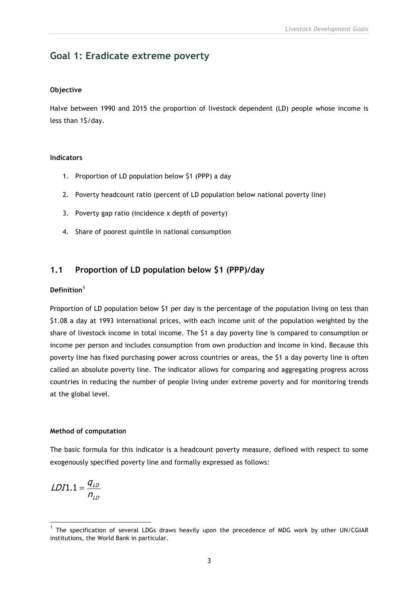# **Goal 1: Eradicate extreme poverty**

#### **Objective**

Halve between 1990 and 2015 the proportion of livestock dependent (LD) people whose income is less than 1\$/day.

#### **Indicators**

- 1. Proportion of LD population below \$1 (PPP) a day
- 2. Poverty headcount ratio (percent of LD population below national poverty line)
- 3. Poverty gap ratio (incidence x depth of poverty)
- 4. Share of poorest quintile in national consumption

### **1.1 Proportion of LD population below \$1 (PPP)/day**

#### **Definition<sup>1</sup>**

Proportion of LD population below \$1 per day is the percentage of the population living on less than \$1.08 a day at 1993 international prices, with each income unit of the population weighted by the share of livestock income in total income. The \$1 a day poverty line is compared to consumption or income per person and includes consumption from own production and income in kind. Because this poverty line has fixed purchasing power across countries or areas, the \$1 a day poverty line is often called an absolute poverty line. The indicator allows for comparing and aggregating progress across countries in reducing the number of people living under extreme poverty and for monitoring trends at the global level.

#### **Method of computation**

The basic formula for this indicator is a headcount poverty measure, defined with respect to some exogenously specified poverty line and formally expressed as follows:

$$
LDI1.1 = \frac{q_{LD}}{n_{LD}}
$$

 $1$  The specification of several LDGs draws heavily upon the precedence of MDG work by other UN/CGIAR institutions, the World Bank in particular.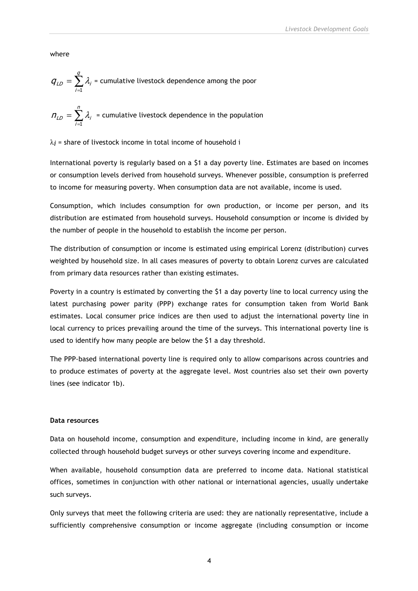where

$$
q_{LD} = \sum_{i=1}^{q} \lambda_i
$$
 = cumulative livestock dependence among the poor

$$
n_{LD} = \sum_{i=1}^{n} \lambda_i
$$
 = cumulative livestock dependence in the population

 $\lambda$ *i* = share of livestock income in total income of household i

International poverty is regularly based on a \$1 a day poverty line. Estimates are based on incomes or consumption levels derived from household surveys. Whenever possible, consumption is preferred to income for measuring poverty. When consumption data are not available, income is used.

Consumption, which includes consumption for own production, or income per person, and its distribution are estimated from household surveys. Household consumption or income is divided by the number of people in the household to establish the income per person.

The distribution of consumption or income is estimated using empirical Lorenz (distribution) curves weighted by household size. In all cases measures of poverty to obtain Lorenz curves are calculated from primary data resources rather than existing estimates.

Poverty in a country is estimated by converting the \$1 a day poverty line to local currency using the latest purchasing power parity (PPP) exchange rates for consumption taken from World Bank estimates. Local consumer price indices are then used to adjust the international poverty line in local currency to prices prevailing around the time of the surveys. This international poverty line is used to identify how many people are below the \$1 a day threshold.

The PPP-based international poverty line is required only to allow comparisons across countries and to produce estimates of poverty at the aggregate level. Most countries also set their own poverty lines (see indicator 1b).

#### **Data resources**

Data on household income, consumption and expenditure, including income in kind, are generally collected through household budget surveys or other surveys covering income and expenditure.

When available, household consumption data are preferred to income data. National statistical offices, sometimes in conjunction with other national or international agencies, usually undertake such surveys.

Only surveys that meet the following criteria are used: they are nationally representative, include a sufficiently comprehensive consumption or income aggregate (including consumption or income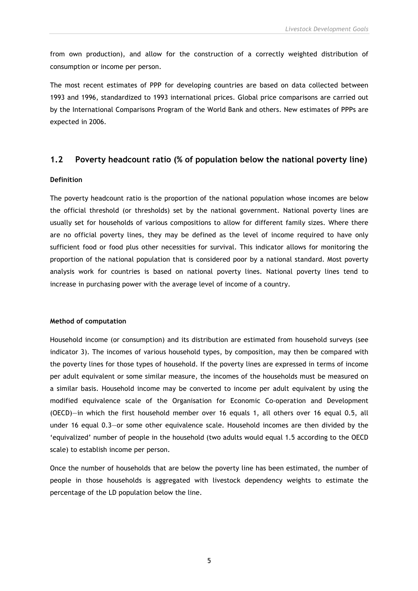from own production), and allow for the construction of a correctly weighted distribution of consumption or income per person.

The most recent estimates of PPP for developing countries are based on data collected between 1993 and 1996, standardized to 1993 international prices. Global price comparisons are carried out by the International Comparisons Program of the World Bank and others. New estimates of PPPs are expected in 2006.

#### **1.2 Poverty headcount ratio (% of population below the national poverty line)**

#### **Definition**

The poverty headcount ratio is the proportion of the national population whose incomes are below the official threshold (or thresholds) set by the national government. National poverty lines are usually set for households of various compositions to allow for different family sizes. Where there are no official poverty lines, they may be defined as the level of income required to have only sufficient food or food plus other necessities for survival. This indicator allows for monitoring the proportion of the national population that is considered poor by a national standard. Most poverty analysis work for countries is based on national poverty lines. National poverty lines tend to increase in purchasing power with the average level of income of a country.

#### **Method of computation**

Household income (or consumption) and its distribution are estimated from household surveys (see indicator 3). The incomes of various household types, by composition, may then be compared with the poverty lines for those types of household. If the poverty lines are expressed in terms of income per adult equivalent or some similar measure, the incomes of the households must be measured on a similar basis. Household income may be converted to income per adult equivalent by using the modified equivalence scale of the Organisation for Economic Co-operation and Development (OECD)—in which the first household member over 16 equals 1, all others over 16 equal 0.5, all under 16 equal 0.3—or some other equivalence scale. Household incomes are then divided by the 'equivalized' number of people in the household (two adults would equal 1.5 according to the OECD scale) to establish income per person.

Once the number of households that are below the poverty line has been estimated, the number of people in those households is aggregated with livestock dependency weights to estimate the percentage of the LD population below the line.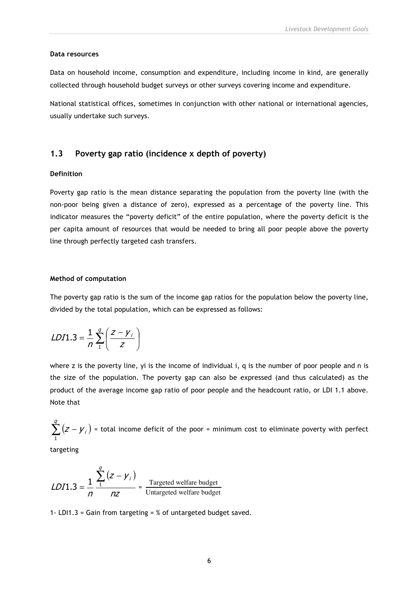#### **Data resources**

Data on household income, consumption and expenditure, including income in kind, are generally collected through household budget surveys or other surveys covering income and expenditure.

National statistical offices, sometimes in conjunction with other national or international agencies, usually undertake such surveys.

#### **1.3 Poverty gap ratio (incidence x depth of poverty)**

#### **Definition**

Poverty gap ratio is the mean distance separating the population from the poverty line (with the non-poor being given a distance of zero), expressed as a percentage of the poverty line. This indicator measures the "poverty deficit" of the entire population, where the poverty deficit is the per capita amount of resources that would be needed to bring all poor people above the poverty line through perfectly targeted cash transfers.

#### **Method of computation**

The poverty gap ratio is the sum of the income gap ratios for the population below the poverty line, divided by the total population, which can be expressed as follows:

$$
LDI1.3 = \frac{1}{n} \sum_{1}^{q} \left( \frac{z - y_i}{z} \right)
$$

where z is the poverty line, yi is the income of individual i, q is the number of poor people and n is the size of the population. The poverty gap can also be expressed (and thus calculated) as the product of the average income gap ratio of poor people and the headcount ratio, or LDI 1.1 above. Note that

 $\sum_{i}^{q}(z-\gamma_{i})$ 1 = total income deficit of the poor = minimum cost to eliminate poverty with perfect

targeting

$$
LDI1.3 = \frac{1}{n} \frac{\sum_{i=1}^{n} (z - y_i)}{nz}
$$
 = Targeted welfare budget  
Untargeted welfare budget

1- LDI1.3 = Gain from targeting = % of untargeted budget saved.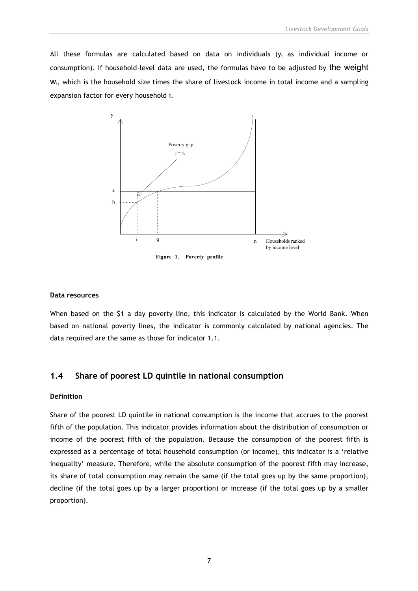All these formulas are calculated based on data on individuals ( $y_i$  as individual income or consumption). If household-level data are used, the formulas have to be adjusted by the weight W<sub>i</sub>, which is the household size times the share of livestock income in total income and a sampling expansion factor for every household i.



#### **Data resources**

When based on the \$1 a day poverty line, this indicator is calculated by the World Bank. When based on national poverty lines, the indicator is commonly calculated by national agencies. The data required are the same as those for indicator 1.1.

#### **1.4 Share of poorest LD quintile in national consumption**

#### **Definition**

Share of the poorest LD quintile in national consumption is the income that accrues to the poorest fifth of the population. This indicator provides information about the distribution of consumption or income of the poorest fifth of the population. Because the consumption of the poorest fifth is expressed as a percentage of total household consumption (or income), this indicator is a 'relative inequality' measure. Therefore, while the absolute consumption of the poorest fifth may increase, its share of total consumption may remain the same (if the total goes up by the same proportion), decline (if the total goes up by a larger proportion) or increase (if the total goes up by a smaller proportion).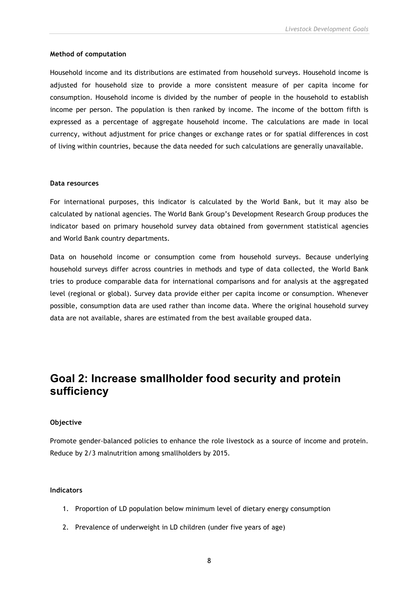#### **Method of computation**

Household income and its distributions are estimated from household surveys. Household income is adjusted for household size to provide a more consistent measure of per capita income for consumption. Household income is divided by the number of people in the household to establish income per person. The population is then ranked by income. The income of the bottom fifth is expressed as a percentage of aggregate household income. The calculations are made in local currency, without adjustment for price changes or exchange rates or for spatial differences in cost of living within countries, because the data needed for such calculations are generally unavailable.

#### **Data resources**

For international purposes, this indicator is calculated by the World Bank, but it may also be calculated by national agencies. The World Bank Group's Development Research Group produces the indicator based on primary household survey data obtained from government statistical agencies and World Bank country departments.

Data on household income or consumption come from household surveys. Because underlying household surveys differ across countries in methods and type of data collected, the World Bank tries to produce comparable data for international comparisons and for analysis at the aggregated level (regional or global). Survey data provide either per capita income or consumption. Whenever possible, consumption data are used rather than income data. Where the original household survey data are not available, shares are estimated from the best available grouped data.

# **Goal 2: Increase smallholder food security and protein sufficiency**

#### **Objective**

Promote gender-balanced policies to enhance the role livestock as a source of income and protein. Reduce by 2/3 malnutrition among smallholders by 2015.

#### **Indicators**

- 1. Proportion of LD population below minimum level of dietary energy consumption
- 2. Prevalence of underweight in LD children (under five years of age)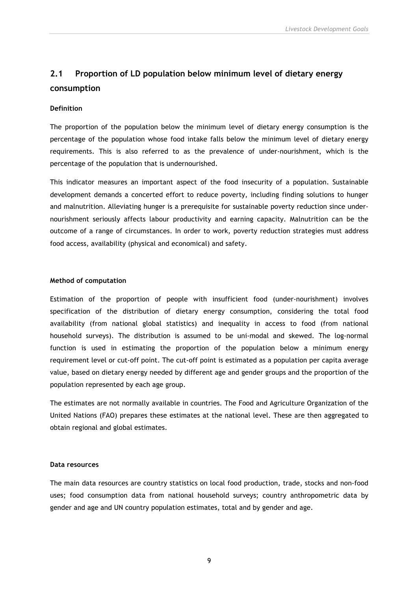# **2.1 Proportion of LD population below minimum level of dietary energy consumption**

#### **Definition**

The proportion of the population below the minimum level of dietary energy consumption is the percentage of the population whose food intake falls below the minimum level of dietary energy requirements. This is also referred to as the prevalence of under-nourishment, which is the percentage of the population that is undernourished.

This indicator measures an important aspect of the food insecurity of a population. Sustainable development demands a concerted effort to reduce poverty, including finding solutions to hunger and malnutrition. Alleviating hunger is a prerequisite for sustainable poverty reduction since undernourishment seriously affects labour productivity and earning capacity. Malnutrition can be the outcome of a range of circumstances. In order to work, poverty reduction strategies must address food access, availability (physical and economical) and safety.

#### **Method of computation**

Estimation of the proportion of people with insufficient food (under-nourishment) involves specification of the distribution of dietary energy consumption, considering the total food availability (from national global statistics) and inequality in access to food (from national household surveys). The distribution is assumed to be uni-modal and skewed. The log-normal function is used in estimating the proportion of the population below a minimum energy requirement level or cut-off point. The cut-off point is estimated as a population per capita average value, based on dietary energy needed by different age and gender groups and the proportion of the population represented by each age group.

The estimates are not normally available in countries. The Food and Agriculture Organization of the United Nations (FAO) prepares these estimates at the national level. These are then aggregated to obtain regional and global estimates.

#### **Data resources**

The main data resources are country statistics on local food production, trade, stocks and non-food uses; food consumption data from national household surveys; country anthropometric data by gender and age and UN country population estimates, total and by gender and age.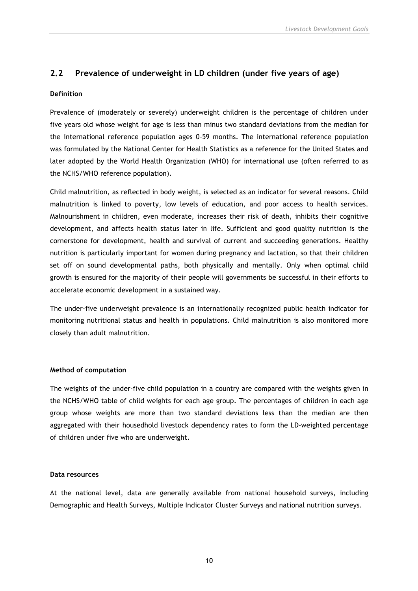### **2.2 Prevalence of underweight in LD children (under five years of age)**

#### **Definition**

Prevalence of (moderately or severely) underweight children is the percentage of children under five years old whose weight for age is less than minus two standard deviations from the median for the international reference population ages 0–59 months. The international reference population was formulated by the National Center for Health Statistics as a reference for the United States and later adopted by the World Health Organization (WHO) for international use (often referred to as the NCHS/WHO reference population).

Child malnutrition, as reflected in body weight, is selected as an indicator for several reasons. Child malnutrition is linked to poverty, low levels of education, and poor access to health services. Malnourishment in children, even moderate, increases their risk of death, inhibits their cognitive development, and affects health status later in life. Sufficient and good quality nutrition is the cornerstone for development, health and survival of current and succeeding generations. Healthy nutrition is particularly important for women during pregnancy and lactation, so that their children set off on sound developmental paths, both physically and mentally. Only when optimal child growth is ensured for the majority of their people will governments be successful in their efforts to accelerate economic development in a sustained way.

The under-five underweight prevalence is an internationally recognized public health indicator for monitoring nutritional status and health in populations. Child malnutrition is also monitored more closely than adult malnutrition.

#### **Method of computation**

The weights of the under-five child population in a country are compared with the weights given in the NCHS/WHO table of child weights for each age group. The percentages of children in each age group whose weights are more than two standard deviations less than the median are then aggregated with their housedhold livestock dependency rates to form the LD-weighted percentage of children under five who are underweight.

#### **Data resources**

At the national level, data are generally available from national household surveys, including Demographic and Health Surveys, Multiple Indicator Cluster Surveys and national nutrition surveys.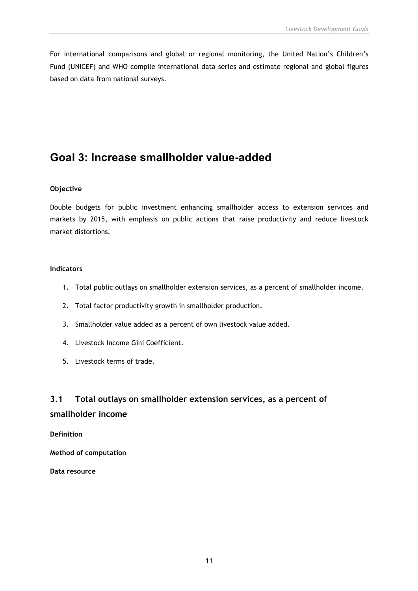For international comparisons and global or regional monitoring, the United Nation's Children's Fund (UNICEF) and WHO compile international data series and estimate regional and global figures based on data from national surveys.

# **Goal 3: Increase smallholder value-added**

#### **Objective**

Double budgets for public investment enhancing smallholder access to extension services and markets by 2015, with emphasis on public actions that raise productivity and reduce livestock market distortions.

#### **Indicators**

- 1. Total public outlays on smallholder extension services, as a percent of smallholder income.
- 2. Total factor productivity growth in smallholder production.
- 3. Smallholder value added as a percent of own livestock value added.
- 4. Livestock Income Gini Coefficient.
- 5. Livestock terms of trade.

# **3.1 Total outlays on smallholder extension services, as a percent of smallholder income**

**Definition**

**Method of computation**

**Data resource**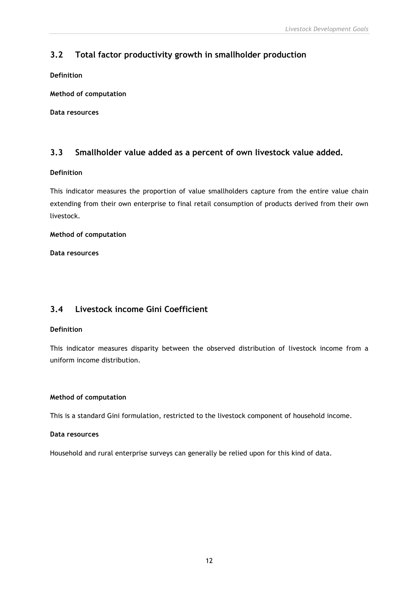## **3.2 Total factor productivity growth in smallholder production**

**Definition**

**Method of computation**

**Data resources**

### **3.3 Smallholder value added as a percent of own livestock value added.**

#### **Definition**

This indicator measures the proportion of value smallholders capture from the entire value chain extending from their own enterprise to final retail consumption of products derived from their own livestock.

#### **Method of computation**

**Data resources**

### **3.4 Livestock income Gini Coefficient**

#### **Definition**

This indicator measures disparity between the observed distribution of livestock income from a uniform income distribution.

#### **Method of computation**

This is a standard Gini formulation, restricted to the livestock component of household income.

#### **Data resources**

Household and rural enterprise surveys can generally be relied upon for this kind of data.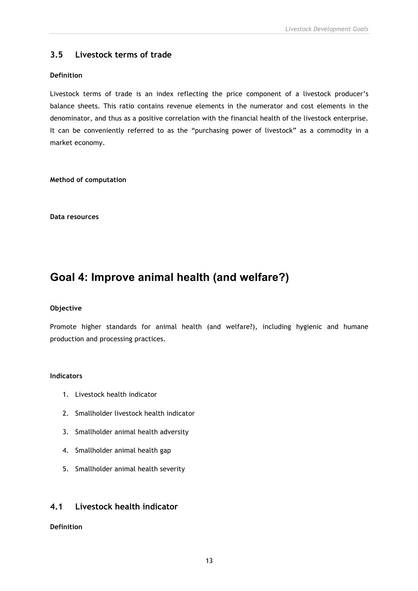### **3.5 Livestock terms of trade**

#### **Definition**

Livestock terms of trade is an index reflecting the price component of a livestock producer's balance sheets. This ratio contains revenue elements in the numerator and cost elements in the denominator, and thus as a positive correlation with the financial health of the livestock enterprise. It can be conveniently referred to as the "purchasing power of livestock" as a commodity in a market economy.

**Method of computation**

**Data resources**

# **Goal 4: Improve animal health (and welfare?)**

#### **Objective**

Promote higher standards for animal health (and welfare?), including hygienic and humane production and processing practices.

#### **Indicators**

- 1. Livestock health indicator
- 2. Smallholder livestock health indicator
- 3. Smallholder animal health adversity
- 4. Smallholder animal health gap
- 5. Smallholder animal health severity

### **4.1 Livestock health indicator**

#### **Definition**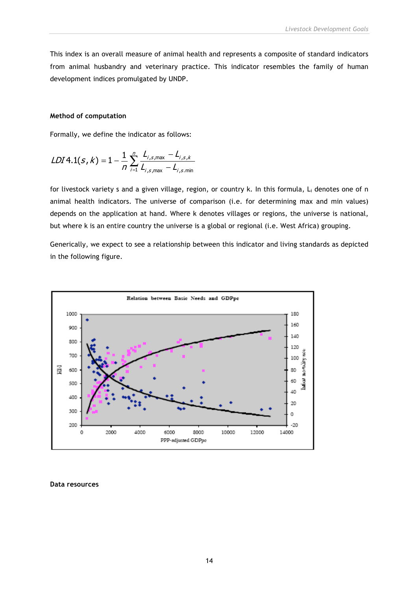This index is an overall measure of animal health and represents a composite of standard indicators from animal husbandry and veterinary practice. This indicator resembles the family of human development indices promulgated by UNDP.

#### **Method of computation**

Formally, we define the indicator as follows:

$$
LDI4.1(s, k) = 1 - \frac{1}{n} \sum_{i=1}^{n} \frac{L_{i,s,\text{max}} - L_{i,s,k}}{L_{i,s,\text{max}} - L_{i,s,\text{min}}}
$$

for livestock variety s and a given village, region, or country k. In this formula, L<sub>i</sub> denotes one of n animal health indicators. The universe of comparison (i.e. for determining max and min values) depends on the application at hand. Where k denotes villages or regions, the universe is national, but where k is an entire country the universe is a global or regional (i.e. West Africa) grouping.

Generically, we expect to see a relationship between this indicator and living standards as depicted in the following figure.



**Data resources**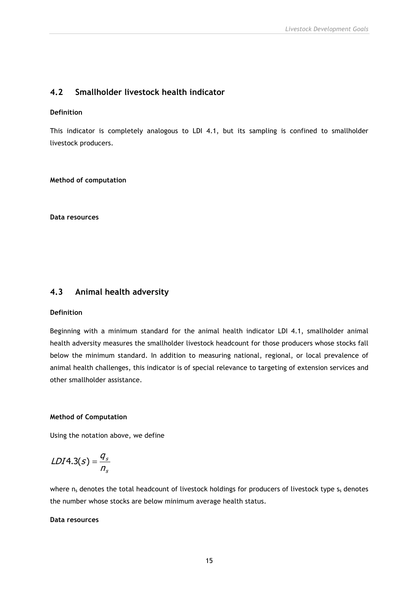### **4.2 Smallholder livestock health indicator**

#### **Definition**

This indicator is completely analogous to LDI 4.1, but its sampling is confined to smallholder livestock producers.

**Method of computation**

**Data resources**

### **4.3 Animal health adversity**

#### **Definition**

Beginning with a minimum standard for the animal health indicator LDI 4.1, smallholder animal health adversity measures the smallholder livestock headcount for those producers whose stocks fall below the minimum standard. In addition to measuring national, regional, or local prevalence of animal health challenges, this indicator is of special relevance to targeting of extension services and other smallholder assistance.

#### **Method of Computation**

Using the notation above, we define

$$
LDI4.3(s) = \frac{q_s}{n_s}
$$

where  $n_s$  denotes the total headcount of livestock holdings for producers of livestock type  $s_s$  denotes the number whose stocks are below minimum average health status.

#### **Data resources**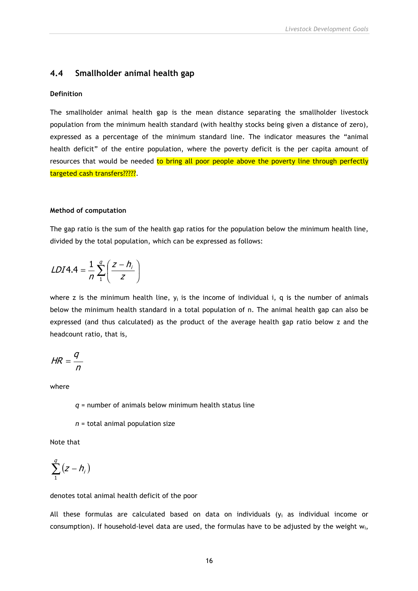#### **4.4 Smallholder animal health gap**

#### **Definition**

The smallholder animal health gap is the mean distance separating the smallholder livestock population from the minimum health standard (with healthy stocks being given a distance of zero), expressed as a percentage of the minimum standard line. The indicator measures the "animal health deficit" of the entire population, where the poverty deficit is the per capita amount of resources that would be needed to bring all poor people above the poverty line through perfectly targeted cash transfers?????.

#### **Method of computation**

The gap ratio is the sum of the health gap ratios for the population below the minimum health line, divided by the total population, which can be expressed as follows:

$$
LDIA.4 = \frac{1}{n} \sum_{1}^{q} \left( \frac{z - h_i}{z} \right)
$$

where z is the minimum health line,  $y_i$  is the income of individual i, q is the number of animals below the minimum health standard in a total population of n. The animal health gap can also be expressed (and thus calculated) as the product of the average health gap ratio below z and the headcount ratio, that is,

$$
HR = \frac{q}{n}
$$

where

*q* = number of animals below minimum health status line

*n* = total animal population size

Note that

$$
\sum_{1}^{q}(z-h_{i})
$$

#### denotes total animal health deficit of the poor

All these formulas are calculated based on data on individuals ( $y_i$  as individual income or consumption). If household-level data are used, the formulas have to be adjusted by the weight  $w_i$ ,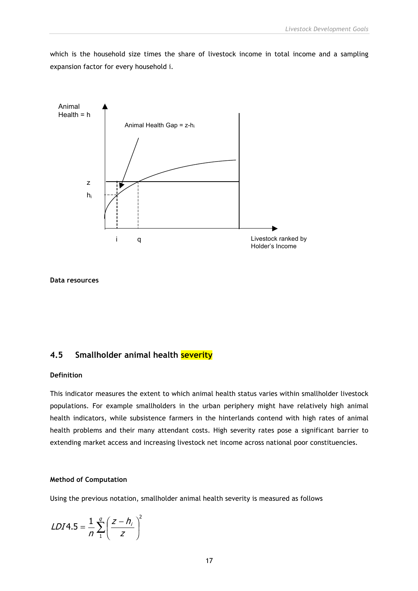which is the household size times the share of livestock income in total income and a sampling expansion factor for every household i.



**Data resources**

#### **4.5 Smallholder animal health severity**

#### **Definition**

This indicator measures the extent to which animal health status varies within smallholder livestock populations. For example smallholders in the urban periphery might have relatively high animal health indicators, while subsistence farmers in the hinterlands contend with high rates of animal health problems and their many attendant costs. High severity rates pose a significant barrier to extending market access and increasing livestock net income across national poor constituencies.

#### **Method of Computation**

Using the previous notation, smallholder animal health severity is measured as follows

$$
LDI4.5 = \frac{1}{n} \sum_{1}^{q} \left( \frac{z - h_i}{z} \right)^2
$$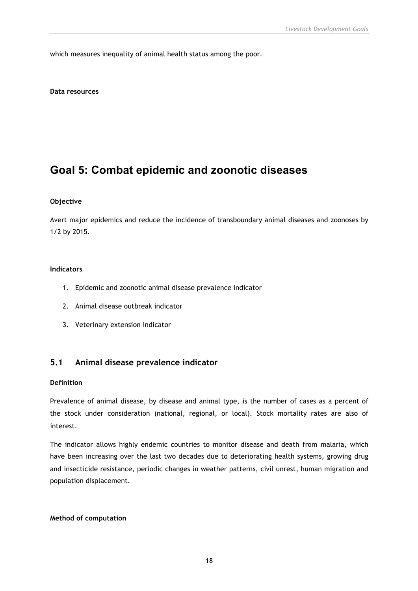which measures inequality of animal health status among the poor.

**Data resources**

# **Goal 5: Combat epidemic and zoonotic diseases**

#### **Objective**

Avert major epidemics and reduce the incidence of transboundary animal diseases and zoonoses by 1/2 by 2015.

#### **Indicators**

- 1. Epidemic and zoonotic animal disease prevalence indicator
- 2. Animal disease outbreak indicator
- 3. Veterinary extension indicator

#### **5.1 Animal disease prevalence indicator**

#### **Definition**

Prevalence of animal disease, by disease and animal type, is the number of cases as a percent of the stock under consideration (national, regional, or local). Stock mortality rates are also of interest.

The indicator allows highly endemic countries to monitor disease and death from malaria, which have been increasing over the last two decades due to deteriorating health systems, growing drug and insecticide resistance, periodic changes in weather patterns, civil unrest, human migration and population displacement.

#### **Method of computation**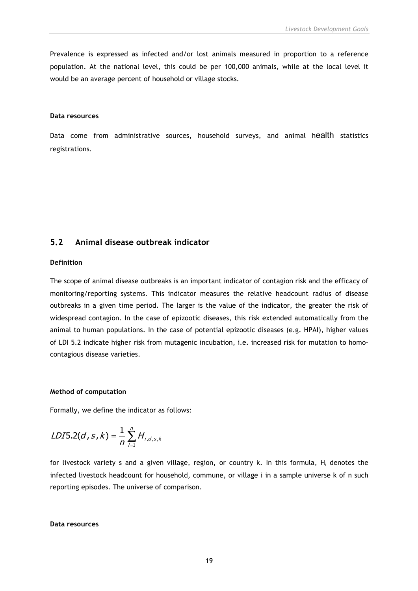Prevalence is expressed as infected and/or lost animals measured in proportion to a reference population. At the national level, this could be per 100,000 animals, while at the local level it would be an average percent of household or village stocks.

#### **Data resources**

Data come from administrative sources, household surveys, and animal health statistics registrations.

### **5.2 Animal disease outbreak indicator**

#### **Definition**

The scope of animal disease outbreaks is an important indicator of contagion risk and the efficacy of monitoring/reporting systems. This indicator measures the relative headcount radius of disease outbreaks in a given time period. The larger is the value of the indicator, the greater the risk of widespread contagion. In the case of epizootic diseases, this risk extended automatically from the animal to human populations. In the case of potential epizootic diseases (e.g. HPAI), higher values of LDI 5.2 indicate higher risk from mutagenic incubation, i.e. increased risk for mutation to homocontagious disease varieties.

#### **Method of computation**

Formally, we define the indicator as follows:

LDI5.2(d, s, k) = 
$$
\frac{1}{n} \sum_{i=1}^{n} H_{i,d,s,k}
$$

for livestock variety s and a given village, region, or country k. In this formula,  $H_i$  denotes the infected livestock headcount for household, commune, or village i in a sample universe k of n such reporting episodes. The universe of comparison.

#### **Data resources**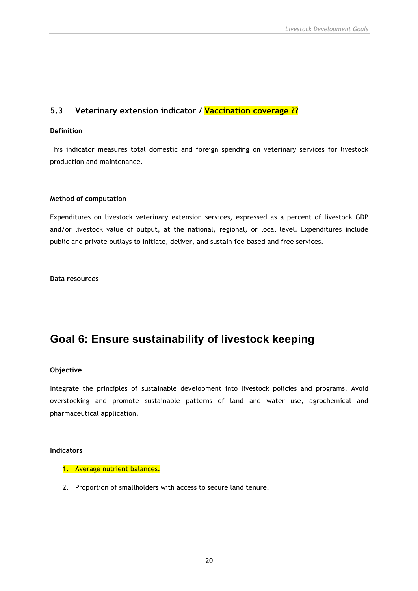### **5.3 Veterinary extension indicator / Vaccination coverage ??**

#### **Definition**

This indicator measures total domestic and foreign spending on veterinary services for livestock production and maintenance.

#### **Method of computation**

Expenditures on livestock veterinary extension services, expressed as a percent of livestock GDP and/or livestock value of output, at the national, regional, or local level. Expenditures include public and private outlays to initiate, deliver, and sustain fee-based and free services.

**Data resources**

# **Goal 6: Ensure sustainability of livestock keeping**

#### **Objective**

Integrate the principles of sustainable development into livestock policies and programs. Avoid overstocking and promote sustainable patterns of land and water use, agrochemical and pharmaceutical application.

#### **Indicators**

#### 1. Average nutrient balances.

2. Proportion of smallholders with access to secure land tenure.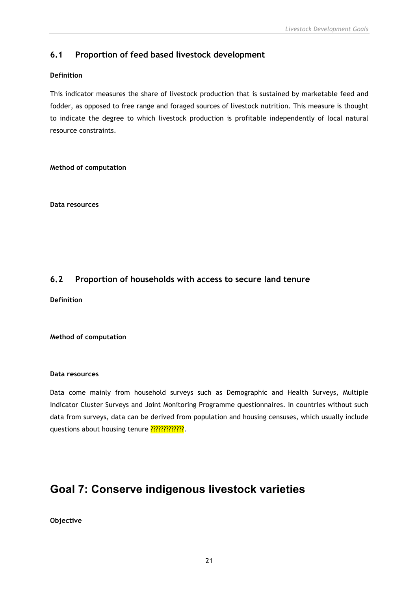### **6.1 Proportion of feed based livestock development**

#### **Definition**

This indicator measures the share of livestock production that is sustained by marketable feed and fodder, as opposed to free range and foraged sources of livestock nutrition. This measure is thought to indicate the degree to which livestock production is profitable independently of local natural resource constraints.

**Method of computation**

**Data resources**

### **6.2 Proportion of households with access to secure land tenure**

**Definition**

#### **Method of computation**

#### **Data resources**

Data come mainly from household surveys such as Demographic and Health Surveys, Multiple Indicator Cluster Surveys and Joint Monitoring Programme questionnaires. In countries without such data from surveys, data can be derived from population and housing censuses, which usually include questions about housing tenure ?????????????.

# **Goal 7: Conserve indigenous livestock varieties**

**Objective**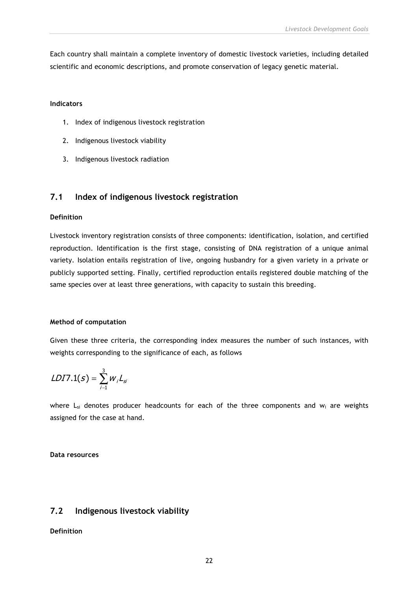Each country shall maintain a complete inventory of domestic livestock varieties, including detailed scientific and economic descriptions, and promote conservation of legacy genetic material.

#### **Indicators**

- 1. Index of indigenous livestock registration
- 2. Indigenous livestock viability
- 3. Indigenous livestock radiation

### **7.1 Index of indigenous livestock registration**

#### **Definition**

Livestock inventory registration consists of three components: identification, isolation, and certified reproduction. Identification is the first stage, consisting of DNA registration of a unique animal variety. Isolation entails registration of live, ongoing husbandry for a given variety in a private or publicly supported setting. Finally, certified reproduction entails registered double matching of the same species over at least three generations, with capacity to sustain this breeding.

#### **Method of computation**

Given these three criteria, the corresponding index measures the number of such instances, with weights corresponding to the significance of each, as follows

$$
LDI7.1(s) = \sum_{i=1}^3 w_i L_{si}
$$

where  $L_{si}$  denotes producer headcounts for each of the three components and  $w_i$  are weights assigned for the case at hand.

**Data resources**

### **7.2 Indigenous livestock viability**

#### **Definition**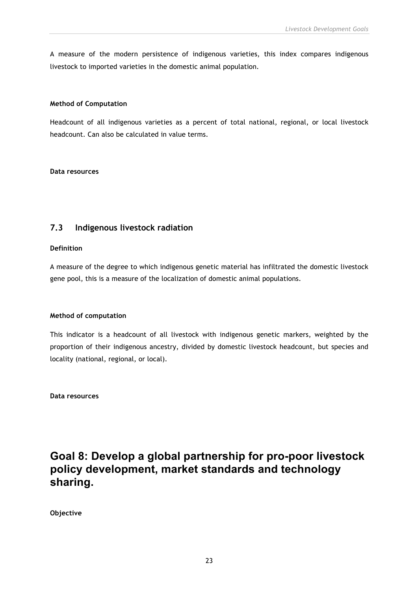A measure of the modern persistence of indigenous varieties, this index compares indigenous livestock to imported varieties in the domestic animal population.

#### **Method of Computation**

Headcount of all indigenous varieties as a percent of total national, regional, or local livestock headcount. Can also be calculated in value terms.

#### **Data resources**

### **7.3 Indigenous livestock radiation**

#### **Definition**

A measure of the degree to which indigenous genetic material has infiltrated the domestic livestock gene pool, this is a measure of the localization of domestic animal populations.

#### **Method of computation**

This indicator is a headcount of all livestock with indigenous genetic markers, weighted by the proportion of their indigenous ancestry, divided by domestic livestock headcount, but species and locality (national, regional, or local).

**Data resources**

# **Goal 8: Develop a global partnership for pro-poor livestock policy development, market standards and technology sharing.**

**Objective**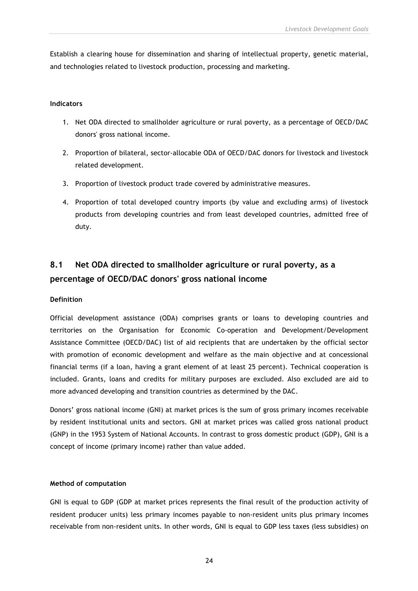Establish a clearing house for dissemination and sharing of intellectual property, genetic material, and technologies related to livestock production, processing and marketing.

#### **Indicators**

- 1. Net ODA directed to smallholder agriculture or rural poverty, as a percentage of OECD/DAC donors' gross national income.
- 2. Proportion of bilateral, sector-allocable ODA of OECD/DAC donors for livestock and livestock related development.
- 3. Proportion of livestock product trade covered by administrative measures.
- 4. Proportion of total developed country imports (by value and excluding arms) of livestock products from developing countries and from least developed countries, admitted free of duty.

# **8.1 Net ODA directed to smallholder agriculture or rural poverty, as a percentage of OECD/DAC donors' gross national income**

#### **Definition**

Official development assistance (ODA) comprises grants or loans to developing countries and territories on the Organisation for Economic Co-operation and Development/Development Assistance Committee (OECD/DAC) list of aid recipients that are undertaken by the official sector with promotion of economic development and welfare as the main objective and at concessional financial terms (if a loan, having a grant element of at least 25 percent). Technical cooperation is included. Grants, loans and credits for military purposes are excluded. Also excluded are aid to more advanced developing and transition countries as determined by the DAC.

Donors' gross national income (GNI) at market prices is the sum of gross primary incomes receivable by resident institutional units and sectors. GNI at market prices was called gross national product (GNP) in the 1953 System of National Accounts. In contrast to gross domestic product (GDP), GNI is a concept of income (primary income) rather than value added.

#### **Method of computation**

GNI is equal to GDP (GDP at market prices represents the final result of the production activity of resident producer units) less primary incomes payable to non-resident units plus primary incomes receivable from non-resident units. In other words, GNI is equal to GDP less taxes (less subsidies) on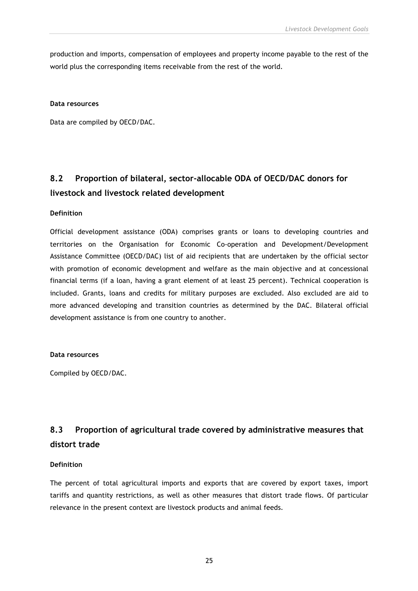production and imports, compensation of employees and property income payable to the rest of the world plus the corresponding items receivable from the rest of the world.

#### **Data resources**

Data are compiled by OECD/DAC.

# **8.2 Proportion of bilateral, sector-allocable ODA of OECD/DAC donors for livestock and livestock related development**

#### **Definition**

Official development assistance (ODA) comprises grants or loans to developing countries and territories on the Organisation for Economic Co-operation and Development/Development Assistance Committee (OECD/DAC) list of aid recipients that are undertaken by the official sector with promotion of economic development and welfare as the main objective and at concessional financial terms (if a loan, having a grant element of at least 25 percent). Technical cooperation is included. Grants, loans and credits for military purposes are excluded. Also excluded are aid to more advanced developing and transition countries as determined by the DAC. Bilateral official development assistance is from one country to another.

#### **Data resources**

Compiled by OECD/DAC.

# **8.3 Proportion of agricultural trade covered by administrative measures that distort trade**

#### **Definition**

The percent of total agricultural imports and exports that are covered by export taxes, import tariffs and quantity restrictions, as well as other measures that distort trade flows. Of particular relevance in the present context are livestock products and animal feeds.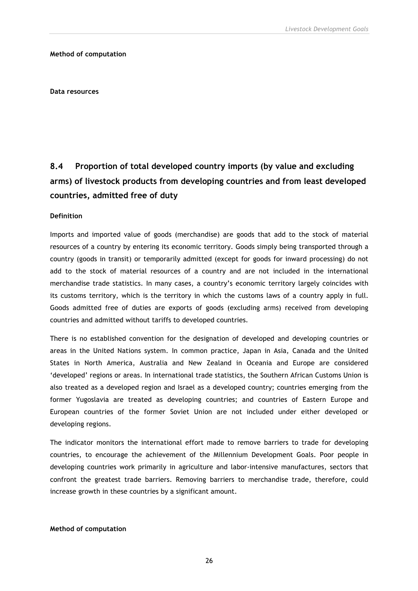#### **Method of computation**

**Data resources**

# **8.4 Proportion of total developed country imports (by value and excluding arms) of livestock products from developing countries and from least developed countries, admitted free of duty**

#### **Definition**

Imports and imported value of goods (merchandise) are goods that add to the stock of material resources of a country by entering its economic territory. Goods simply being transported through a country (goods in transit) or temporarily admitted (except for goods for inward processing) do not add to the stock of material resources of a country and are not included in the international merchandise trade statistics. In many cases, a country's economic territory largely coincides with its customs territory, which is the territory in which the customs laws of a country apply in full. Goods admitted free of duties are exports of goods (excluding arms) received from developing countries and admitted without tariffs to developed countries.

There is no established convention for the designation of developed and developing countries or areas in the United Nations system. In common practice, Japan in Asia, Canada and the United States in North America, Australia and New Zealand in Oceania and Europe are considered 'developed' regions or areas. In international trade statistics, the Southern African Customs Union is also treated as a developed region and Israel as a developed country; countries emerging from the former Yugoslavia are treated as developing countries; and countries of Eastern Europe and European countries of the former Soviet Union are not included under either developed or developing regions.

The indicator monitors the international effort made to remove barriers to trade for developing countries, to encourage the achievement of the Millennium Development Goals. Poor people in developing countries work primarily in agriculture and labor-intensive manufactures, sectors that confront the greatest trade barriers. Removing barriers to merchandise trade, therefore, could increase growth in these countries by a significant amount.

#### **Method of computation**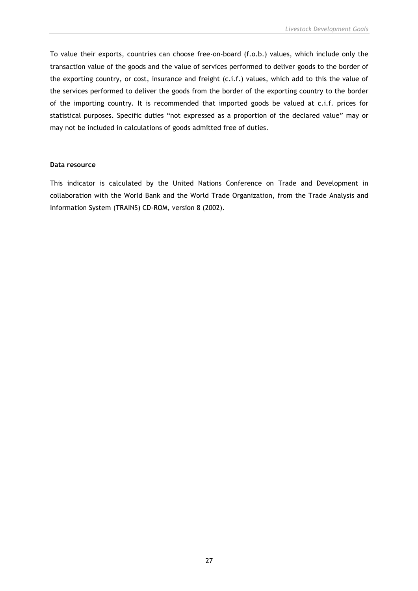To value their exports, countries can choose free-on-board (f.o.b.) values, which include only the transaction value of the goods and the value of services performed to deliver goods to the border of the exporting country, or cost, insurance and freight (c.i.f.) values, which add to this the value of the services performed to deliver the goods from the border of the exporting country to the border of the importing country. It is recommended that imported goods be valued at c.i.f. prices for statistical purposes. Specific duties "not expressed as a proportion of the declared value" may or may not be included in calculations of goods admitted free of duties.

#### **Data resource**

This indicator is calculated by the United Nations Conference on Trade and Development in collaboration with the World Bank and the World Trade Organization, from the Trade Analysis and Information System (TRAINS) CD-ROM, version 8 (2002).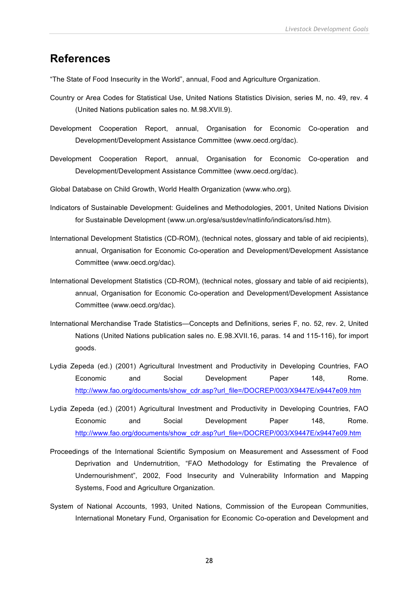# **References**

"The State of Food Insecurity in the World", annual, Food and Agriculture Organization.

- Country or Area Codes for Statistical Use, United Nations Statistics Division, series M, no. 49, rev. 4 (United Nations publication sales no. M.98.XVII.9).
- Development Cooperation Report, annual, Organisation for Economic Co-operation and Development/Development Assistance Committee (www.oecd.org/dac).
- Development Cooperation Report, annual, Organisation for Economic Co-operation and Development/Development Assistance Committee (www.oecd.org/dac).
- Global Database on Child Growth, World Health Organization (www.who.org).
- Indicators of Sustainable Development: Guidelines and Methodologies, 2001, United Nations Division for Sustainable Development (www.un.org/esa/sustdev/natlinfo/indicators/isd.htm).
- International Development Statistics (CD-ROM), (technical notes, glossary and table of aid recipients), annual, Organisation for Economic Co-operation and Development/Development Assistance Committee (www.oecd.org/dac).
- International Development Statistics (CD-ROM), (technical notes, glossary and table of aid recipients), annual, Organisation for Economic Co-operation and Development/Development Assistance Committee (www.oecd.org/dac).
- International Merchandise Trade Statistics—Concepts and Definitions, series F, no. 52, rev. 2, United Nations (United Nations publication sales no. E.98.XVII.16, paras. 14 and 115-116), for import goods.
- Lydia Zepeda (ed.) (2001) Agricultural Investment and Productivity in Developing Countries, FAO Economic and Social Development Paper 148, Rome. http://www.fao.org/documents/show\_cdr.asp?url\_file=/DOCREP/003/X9447E/x9447e09.htm
- Lydia Zepeda (ed.) (2001) Agricultural Investment and Productivity in Developing Countries, FAO Economic and Social Development Paper 148, Rome. http://www.fao.org/documents/show\_cdr.asp?url\_file=/DOCREP/003/X9447E/x9447e09.htm
- Proceedings of the International Scientific Symposium on Measurement and Assessment of Food Deprivation and Undernutrition, "FAO Methodology for Estimating the Prevalence of Undernourishment", 2002, Food Insecurity and Vulnerability Information and Mapping Systems, Food and Agriculture Organization.
- System of National Accounts, 1993, United Nations, Commission of the European Communities, International Monetary Fund, Organisation for Economic Co-operation and Development and